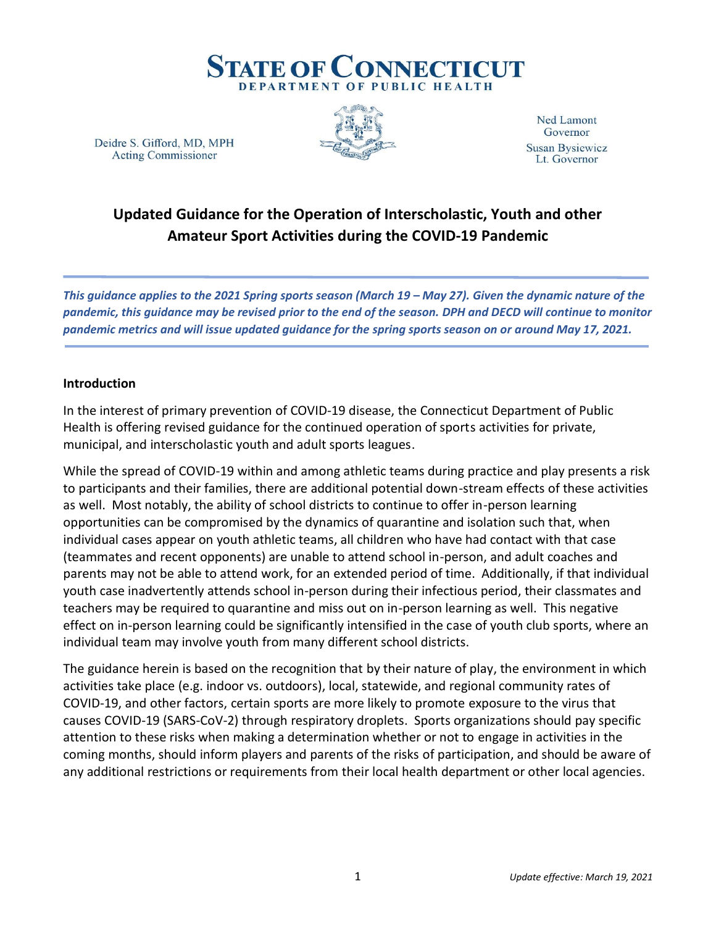

Deidre S. Gifford, MD, MPH **Acting Commissioner** 



**Ned Lamont** Governor **Susan Bysiewicz** Lt. Governor

# **Updated Guidance for the Operation of Interscholastic, Youth and other Amateur Sport Activities during the COVID-19 Pandemic**

*This guidance applies to the 2021 Spring sports season (March 19 – May 27). Given the dynamic nature of the pandemic, this guidance may be revised prior to the end of the season. DPH and DECD will continue to monitor pandemic metrics and will issue updated guidance for the spring sports season on or around May 17, 2021.*

#### **Introduction**

In the interest of primary prevention of COVID-19 disease, the Connecticut Department of Public Health is offering revised guidance for the continued operation of sports activities for private, municipal, and interscholastic youth and adult sports leagues.

While the spread of COVID-19 within and among athletic teams during practice and play presents a risk to participants and their families, there are additional potential down-stream effects of these activities as well. Most notably, the ability of school districts to continue to offer in-person learning opportunities can be compromised by the dynamics of quarantine and isolation such that, when individual cases appear on youth athletic teams, all children who have had contact with that case (teammates and recent opponents) are unable to attend school in-person, and adult coaches and parents may not be able to attend work, for an extended period of time. Additionally, if that individual youth case inadvertently attends school in-person during their infectious period, their classmates and teachers may be required to quarantine and miss out on in-person learning as well. This negative effect on in-person learning could be significantly intensified in the case of youth club sports, where an individual team may involve youth from many different school districts.

The guidance herein is based on the recognition that by their nature of play, the environment in which activities take place (e.g. indoor vs. outdoors), local, statewide, and regional community rates of COVID-19, and other factors, certain sports are more likely to promote exposure to the virus that causes COVID-19 (SARS-CoV-2) through respiratory droplets. Sports organizations should pay specific attention to these risks when making a determination whether or not to engage in activities in the coming months, should inform players and parents of the risks of participation, and should be aware of any additional restrictions or requirements from their local health department or other local agencies.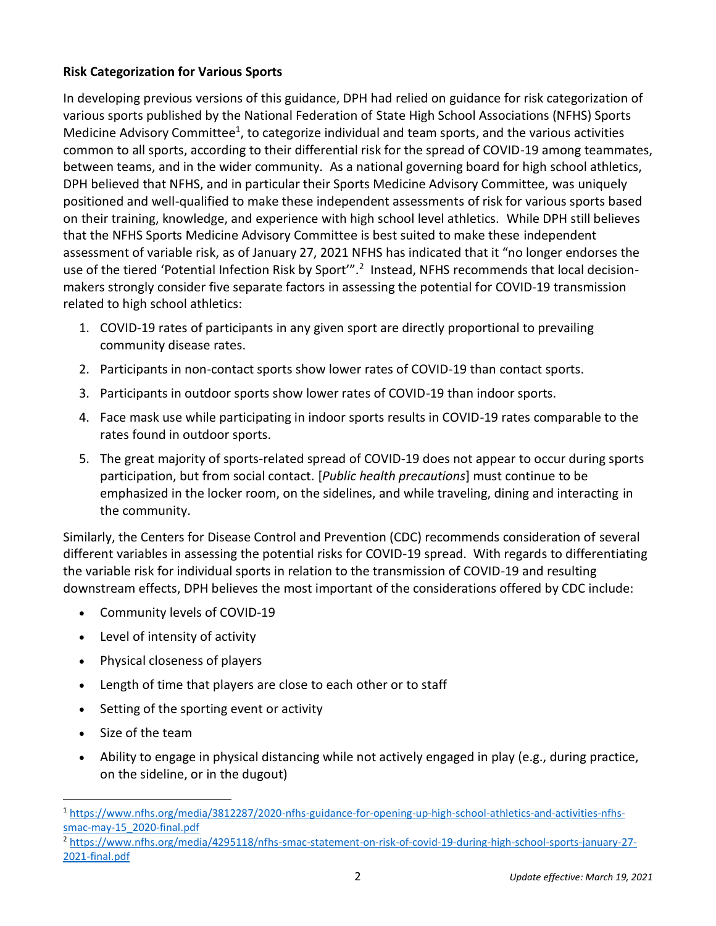## **Risk Categorization for Various Sports**

In developing previous versions of this guidance, DPH had relied on guidance for risk categorization of various sports published by the National Federation of State High School Associations (NFHS) Sports Medicine Advisory Committee<sup>1</sup>, to categorize individual and team sports, and the various activities common to all sports, according to their differential risk for the spread of COVID-19 among teammates, between teams, and in the wider community. As a national governing board for high school athletics, DPH believed that NFHS, and in particular their Sports Medicine Advisory Committee, was uniquely positioned and well-qualified to make these independent assessments of risk for various sports based on their training, knowledge, and experience with high school level athletics. While DPH still believes that the NFHS Sports Medicine Advisory Committee is best suited to make these independent assessment of variable risk, as of January 27, 2021 NFHS has indicated that it "no longer endorses the use of the tiered 'Potential Infection Risk by Sport'".<sup>2</sup> Instead, NFHS recommends that local decisionmakers strongly consider five separate factors in assessing the potential for COVID-19 transmission related to high school athletics:

- 1. COVID-19 rates of participants in any given sport are directly proportional to prevailing community disease rates.
- 2. Participants in non-contact sports show lower rates of COVID-19 than contact sports.
- 3. Participants in outdoor sports show lower rates of COVID-19 than indoor sports.
- 4. Face mask use while participating in indoor sports results in COVID-19 rates comparable to the rates found in outdoor sports.
- 5. The great majority of sports-related spread of COVID-19 does not appear to occur during sports participation, but from social contact. [*Public health precautions*] must continue to be emphasized in the locker room, on the sidelines, and while traveling, dining and interacting in the community.

Similarly, the Centers for Disease Control and Prevention (CDC) recommends consideration of several different variables in assessing the potential risks for COVID-19 spread. With regards to differentiating the variable risk for individual sports in relation to the transmission of COVID-19 and resulting downstream effects, DPH believes the most important of the considerations offered by CDC include:

- Community levels of COVID-19
- Level of intensity of activity
- Physical closeness of players
- Length of time that players are close to each other or to staff
- Setting of the sporting event or activity
- Size of the team
- Ability to engage in physical distancing while not actively engaged in play (e.g., during practice, on the sideline, or in the dugout)

<sup>1</sup> [https://www.nfhs.org/media/3812287/2020-nfhs-guidance-for-opening-up-high-school-athletics-and-activities-nfhs](https://www.nfhs.org/media/3812287/2020-nfhs-guidance-for-opening-up-high-school-athletics-and-activities-nfhs-smac-may-15_2020-final.pdf)[smac-may-15\\_2020-final.pdf](https://www.nfhs.org/media/3812287/2020-nfhs-guidance-for-opening-up-high-school-athletics-and-activities-nfhs-smac-may-15_2020-final.pdf)

<sup>2</sup> [https://www.nfhs.org/media/4295118/nfhs-smac-statement-on-risk-of-covid-19-during-high-school-sports-january-27-](https://www.nfhs.org/media/4295118/nfhs-smac-statement-on-risk-of-covid-19-during-high-school-sports-january-27-2021-final.pdf) [2021-final.pdf](https://www.nfhs.org/media/4295118/nfhs-smac-statement-on-risk-of-covid-19-during-high-school-sports-january-27-2021-final.pdf)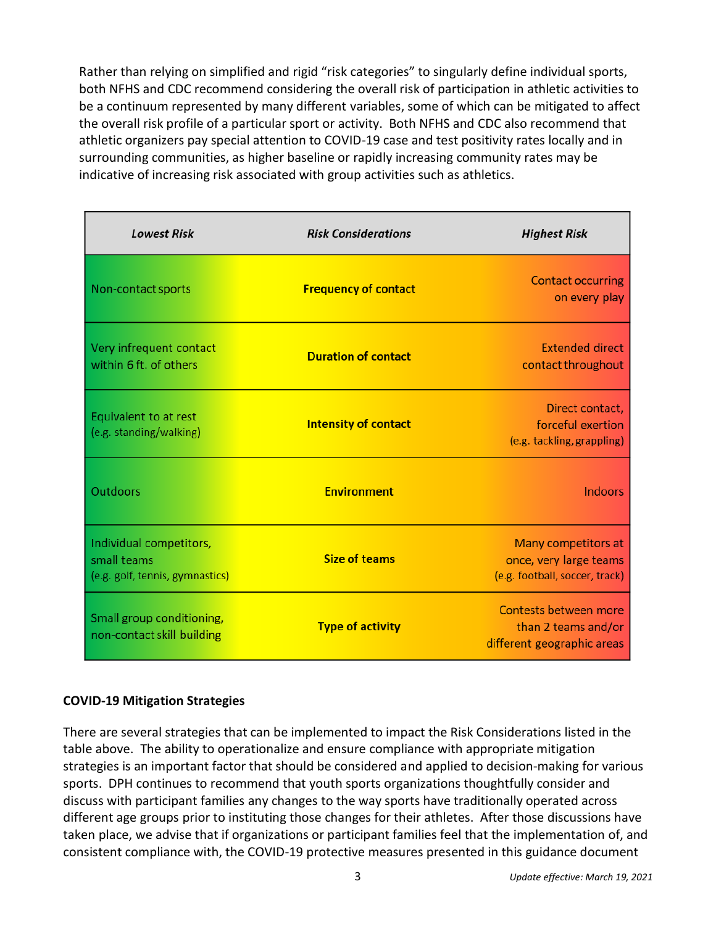Rather than relying on simplified and rigid "risk categories" to singularly define individual sports, both NFHS and CDC recommend considering the overall risk of participation in athletic activities to be a continuum represented by many different variables, some of which can be mitigated to affect the overall risk profile of a particular sport or activity. Both NFHS and CDC also recommend that athletic organizers pay special attention to COVID-19 case and test positivity rates locally and in surrounding communities, as higher baseline or rapidly increasing community rates may be indicative of increasing risk associated with group activities such as athletics.

| <b>Lowest Risk</b>                                                        | <b>Risk Considerations</b>  | <b>Highest Risk</b>                                                             |
|---------------------------------------------------------------------------|-----------------------------|---------------------------------------------------------------------------------|
| Non-contact sports                                                        | <b>Frequency of contact</b> | <b>Contact occurring</b><br>on every play                                       |
| Very infrequent contact<br>within 6 ft. of others                         | <b>Duration of contact</b>  | <b>Extended direct</b><br>contact throughout                                    |
| Equivalent to at rest<br>(e.g. standing/walking)                          | <b>Intensity of contact</b> | Direct contact,<br>forceful exertion<br>(e.g. tackling, grappling)              |
| <b>Outdoors</b>                                                           | <b>Environment</b>          | <b>Indoors</b>                                                                  |
| Individual competitors,<br>small teams<br>(e.g. golf, tennis, gymnastics) | <b>Size of teams</b>        | Many competitors at<br>once, very large teams<br>(e.g. football, soccer, track) |
| Small group conditioning,<br>non-contact skill building                   | <b>Type of activity</b>     | Contests between more<br>than 2 teams and/or<br>different geographic areas      |

## **COVID-19 Mitigation Strategies**

There are several strategies that can be implemented to impact the Risk Considerations listed in the table above. The ability to operationalize and ensure compliance with appropriate mitigation strategies is an important factor that should be considered and applied to decision-making for various sports. DPH continues to recommend that youth sports organizations thoughtfully consider and discuss with participant families any changes to the way sports have traditionally operated across different age groups prior to instituting those changes for their athletes. After those discussions have taken place, we advise that if organizations or participant families feel that the implementation of, and consistent compliance with, the COVID-19 protective measures presented in this guidance document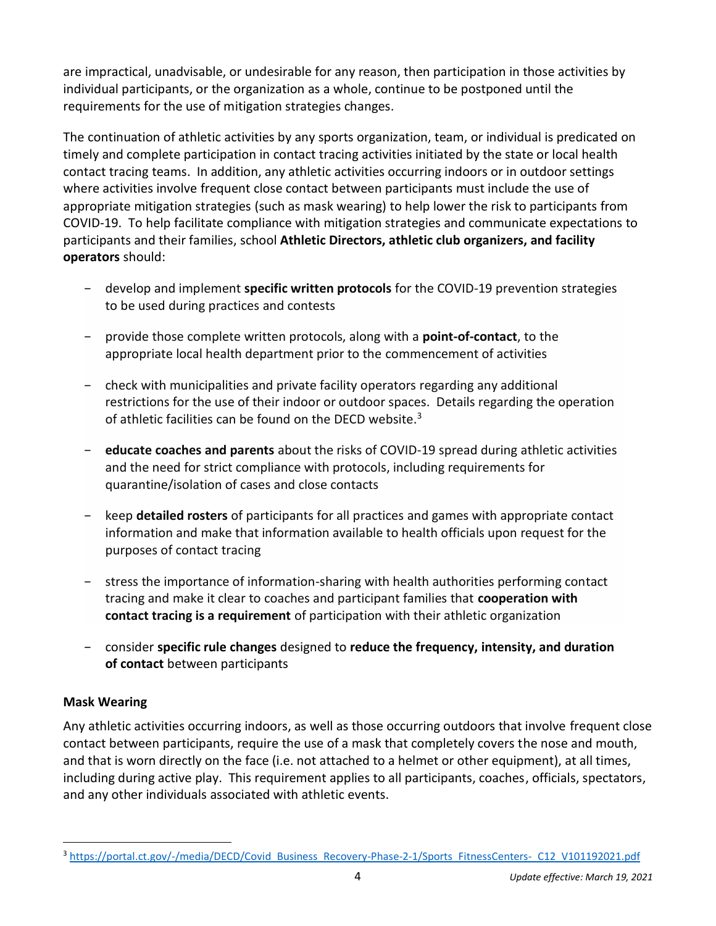are impractical, unadvisable, or undesirable for any reason, then participation in those activities by individual participants, or the organization as a whole, continue to be postponed until the requirements for the use of mitigation strategies changes.

The continuation of athletic activities by any sports organization, team, or individual is predicated on timely and complete participation in contact tracing activities initiated by the state or local health contact tracing teams. In addition, any athletic activities occurring indoors or in outdoor settings where activities involve frequent close contact between participants must include the use of appropriate mitigation strategies (such as mask wearing) to help lower the risk to participants from COVID-19. To help facilitate compliance with mitigation strategies and communicate expectations to participants and their families, school **Athletic Directors, athletic club organizers, and facility operators** should:

- − develop and implement **specific written protocols** for the COVID-19 prevention strategies to be used during practices and contests
- − provide those complete written protocols, along with a **point-of-contact**, to the appropriate local health department prior to the commencement of activities
- − check with municipalities and private facility operators regarding any additional restrictions for the use of their indoor or outdoor spaces. Details regarding the operation of athletic facilities can be found on the DECD website. $3$
- − **educate coaches and parents** about the risks of COVID-19 spread during athletic activities and the need for strict compliance with protocols, including requirements for quarantine/isolation of cases and close contacts
- − keep **detailed rosters** of participants for all practices and games with appropriate contact information and make that information available to health officials upon request for the purposes of contact tracing
- − stress the importance of information-sharing with health authorities performing contact tracing and make it clear to coaches and participant families that **cooperation with contact tracing is a requirement** of participation with their athletic organization
- − consider **specific rule changes** designed to **reduce the frequency, intensity, and duration of contact** between participants

## **Mask Wearing**

Any athletic activities occurring indoors, as well as those occurring outdoors that involve frequent close contact between participants, require the use of a mask that completely covers the nose and mouth, and that is worn directly on the face (i.e. not attached to a helmet or other equipment), at all times, including during active play. This requirement applies to all participants, coaches, officials, spectators, and any other individuals associated with athletic events.

<sup>3</sup> [https://portal.ct.gov/-/media/DECD/Covid\\_Business\\_Recovery-Phase-2-1/Sports\\_FitnessCenters-\\_C12\\_V101192021.pdf](https://portal.ct.gov/-/media/DECD/Covid_Business_Recovery-Phase-2-1/Sports_FitnessCenters-_C12_V101192021.pdf)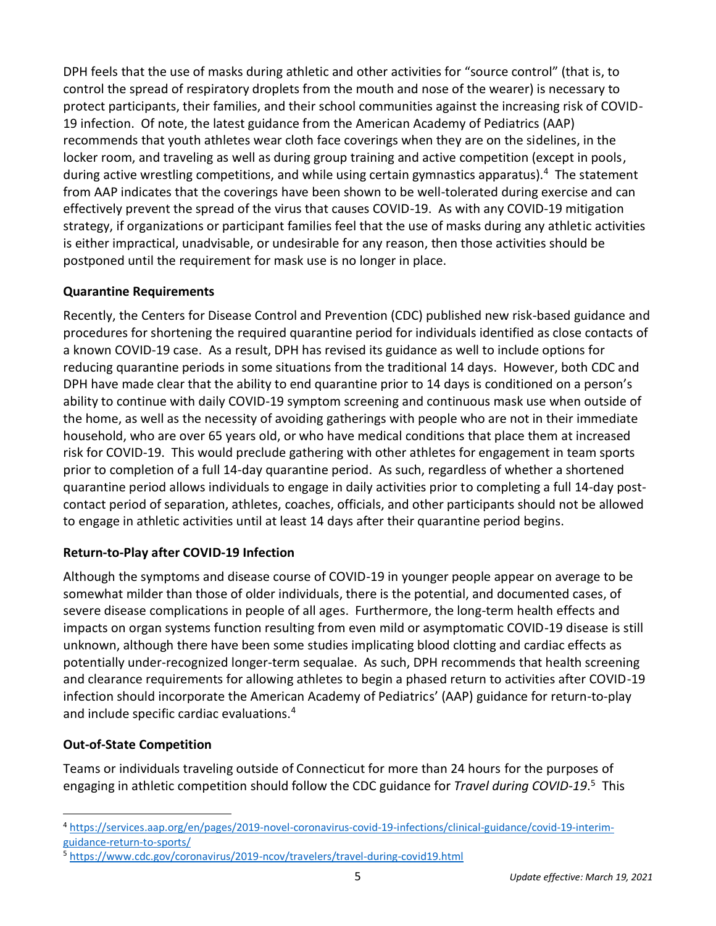DPH feels that the use of masks during athletic and other activities for "source control" (that is, to control the spread of respiratory droplets from the mouth and nose of the wearer) is necessary to protect participants, their families, and their school communities against the increasing risk of COVID-19 infection. Of note, the latest guidance from the American Academy of Pediatrics (AAP) recommends that youth athletes wear cloth face coverings when they are on the sidelines, in the locker room, and traveling as well as during group training and active competition (except in pools, during active wrestling competitions, and while using certain gymnastics apparatus).<sup>4</sup> The statement from AAP indicates that the coverings have been shown to be well-tolerated during exercise and can effectively prevent the spread of the virus that causes COVID-19. As with any COVID-19 mitigation strategy, if organizations or participant families feel that the use of masks during any athletic activities is either impractical, unadvisable, or undesirable for any reason, then those activities should be postponed until the requirement for mask use is no longer in place.

## **Quarantine Requirements**

Recently, the Centers for Disease Control and Prevention (CDC) published new risk-based guidance and procedures for shortening the required quarantine period for individuals identified as close contacts of a known COVID-19 case. As a result, DPH has revised its guidance as well to include options for reducing quarantine periods in some situations from the traditional 14 days. However, both CDC and DPH have made clear that the ability to end quarantine prior to 14 days is conditioned on a person's ability to continue with daily COVID-19 symptom screening and continuous mask use when outside of the home, as well as the necessity of avoiding gatherings with people who are not in their immediate household, who are over 65 years old, or who have medical conditions that place them at increased risk for COVID-19. This would preclude gathering with other athletes for engagement in team sports prior to completion of a full 14-day quarantine period. As such, regardless of whether a shortened quarantine period allows individuals to engage in daily activities prior to completing a full 14-day postcontact period of separation, athletes, coaches, officials, and other participants should not be allowed to engage in athletic activities until at least 14 days after their quarantine period begins.

# **Return-to-Play after COVID-19 Infection**

Although the symptoms and disease course of COVID-19 in younger people appear on average to be somewhat milder than those of older individuals, there is the potential, and documented cases, of severe disease complications in people of all ages. Furthermore, the long-term health effects and impacts on organ systems function resulting from even mild or asymptomatic COVID-19 disease is still unknown, although there have been some studies implicating blood clotting and cardiac effects as potentially under-recognized longer-term sequalae. As such, DPH recommends that health screening and clearance requirements for allowing athletes to begin a phased return to activities after COVID-19 infection should incorporate the American Academy of Pediatrics' (AAP) guidance for return-to-play and include specific cardiac evaluations.<sup>4</sup>

# **Out-of-State Competition**

Teams or individuals traveling outside of Connecticut for more than 24 hours for the purposes of engaging in athletic competition should follow the CDC guidance for *Travel during COVID-19*. 5 This

<sup>4</sup> [https://services.aap.org/en/pages/2019-novel-coronavirus-covid-19-infections/clinical-guidance/covid-19-interim](https://services.aap.org/en/pages/2019-novel-coronavirus-covid-19-infections/clinical-guidance/covid-19-interim-guidance-return-to-sports/)[guidance-return-to-sports/](https://services.aap.org/en/pages/2019-novel-coronavirus-covid-19-infections/clinical-guidance/covid-19-interim-guidance-return-to-sports/)

<sup>5</sup> <https://www.cdc.gov/coronavirus/2019-ncov/travelers/travel-during-covid19.html>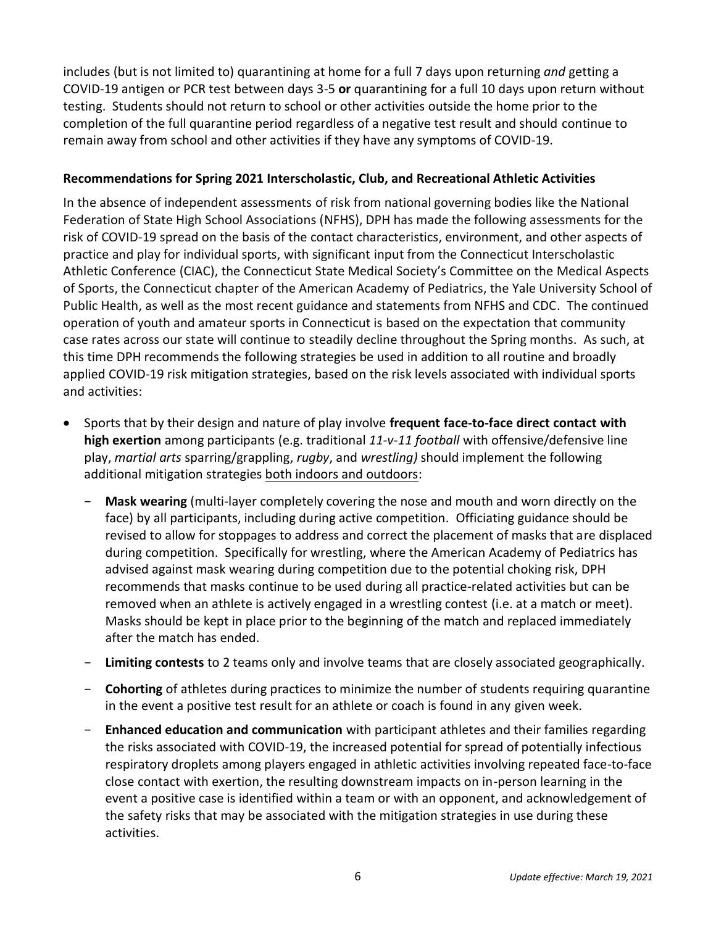includes (but is not limited to) quarantining at home for a full 7 days upon returning *and* getting a COVID-19 antigen or PCR test between days 3-5 **or** quarantining for a full 10 days upon return without testing. Students should not return to school or other activities outside the home prior to the completion of the full quarantine period regardless of a negative test result and should continue to remain away from school and other activities if they have any symptoms of COVID-19.

#### **Recommendations for Spring 2021 Interscholastic, Club, and Recreational Athletic Activities**

In the absence of independent assessments of risk from national governing bodies like the National Federation of State High School Associations (NFHS), DPH has made the following assessments for the risk of COVID-19 spread on the basis of the contact characteristics, environment, and other aspects of practice and play for individual sports, with significant input from the Connecticut Interscholastic Athletic Conference (CIAC), the Connecticut State Medical Society's Committee on the Medical Aspects of Sports, the Connecticut chapter of the American Academy of Pediatrics, the Yale University School of Public Health, as well as the most recent guidance and statements from NFHS and CDC. The continued operation of youth and amateur sports in Connecticut is based on the expectation that community case rates across our state will continue to steadily decline throughout the Spring months. As such, at this time DPH recommends the following strategies be used in addition to all routine and broadly applied COVID-19 risk mitigation strategies, based on the risk levels associated with individual sports and activities:

- Sports that by their design and nature of play involve **frequent face-to-face direct contact with high exertion** among participants (e.g. traditional *11-v-11 football* with offensive/defensive line play, *martial arts* sparring/grappling, *rugby*, and *wrestling)* should implement the following additional mitigation strategies both indoors and outdoors:
	- − **Mask wearing** (multi-layer completely covering the nose and mouth and worn directly on the face) by all participants, including during active competition. Officiating guidance should be revised to allow for stoppages to address and correct the placement of masks that are displaced during competition. Specifically for wrestling, where the American Academy of Pediatrics has advised against mask wearing during competition due to the potential choking risk, DPH recommends that masks continue to be used during all practice-related activities but can be removed when an athlete is actively engaged in a wrestling contest (i.e. at a match or meet). Masks should be kept in place prior to the beginning of the match and replaced immediately after the match has ended.
	- − **Limiting contests** to 2 teams only and involve teams that are closely associated geographically.
	- − **Cohorting** of athletes during practices to minimize the number of students requiring quarantine in the event a positive test result for an athlete or coach is found in any given week.
	- − **Enhanced education and communication** with participant athletes and their families regarding the risks associated with COVID-19, the increased potential for spread of potentially infectious respiratory droplets among players engaged in athletic activities involving repeated face-to-face close contact with exertion, the resulting downstream impacts on in-person learning in the event a positive case is identified within a team or with an opponent, and acknowledgement of the safety risks that may be associated with the mitigation strategies in use during these activities.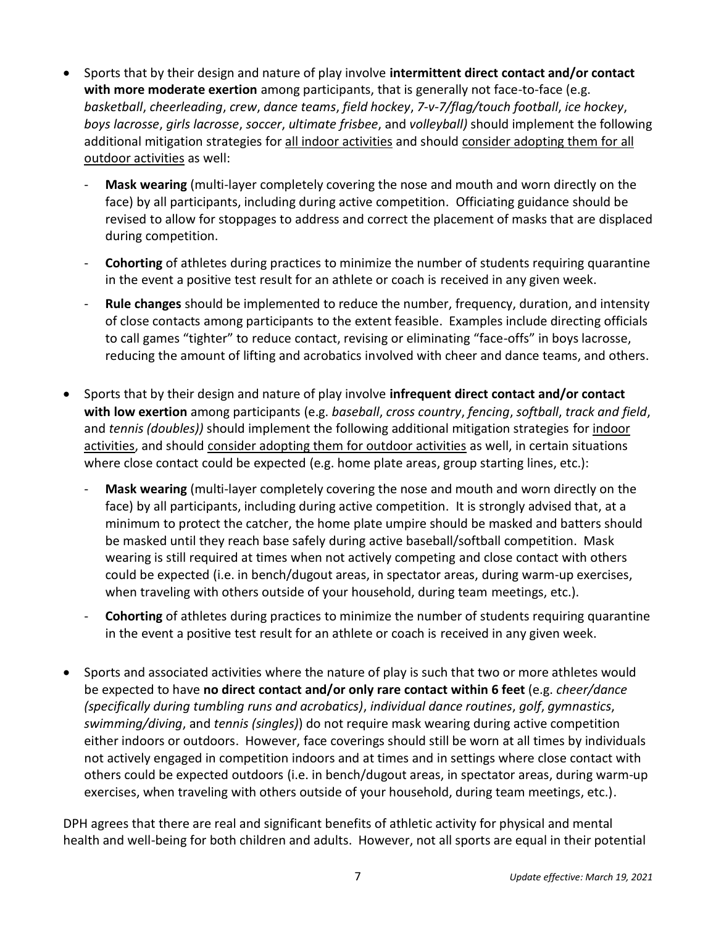- Sports that by their design and nature of play involve **intermittent direct contact and/or contact with more moderate exertion** among participants, that is generally not face-to-face (e.g. *basketball*, *cheerleading*, *crew*, *dance teams*, *field hockey*, *7-v-7/flag/touch football*, *ice hockey*, *boys lacrosse*, *girls lacrosse*, *soccer*, *ultimate frisbee*, and *volleyball)* should implement the following additional mitigation strategies for all indoor activities and should consider adopting them for all outdoor activities as well:
	- **Mask wearing** (multi-layer completely covering the nose and mouth and worn directly on the face) by all participants, including during active competition. Officiating guidance should be revised to allow for stoppages to address and correct the placement of masks that are displaced during competition.
	- **Cohorting** of athletes during practices to minimize the number of students requiring quarantine in the event a positive test result for an athlete or coach is received in any given week.
	- **Rule changes** should be implemented to reduce the number, frequency, duration, and intensity of close contacts among participants to the extent feasible. Examples include directing officials to call games "tighter" to reduce contact, revising or eliminating "face-offs" in boys lacrosse, reducing the amount of lifting and acrobatics involved with cheer and dance teams, and others.
- Sports that by their design and nature of play involve **infrequent direct contact and/or contact with low exertion** among participants (e.g. *baseball*, *cross country*, *fencing*, *softball*, *track and field*, and *tennis (doubles))* should implement the following additional mitigation strategies for indoor activities, and should consider adopting them for outdoor activities as well, in certain situations where close contact could be expected (e.g. home plate areas, group starting lines, etc.):
	- **Mask wearing** (multi-layer completely covering the nose and mouth and worn directly on the face) by all participants, including during active competition. It is strongly advised that, at a minimum to protect the catcher, the home plate umpire should be masked and batters should be masked until they reach base safely during active baseball/softball competition. Mask wearing is still required at times when not actively competing and close contact with others could be expected (i.e. in bench/dugout areas, in spectator areas, during warm-up exercises, when traveling with others outside of your household, during team meetings, etc.).
	- **Cohorting** of athletes during practices to minimize the number of students requiring quarantine in the event a positive test result for an athlete or coach is received in any given week.
- Sports and associated activities where the nature of play is such that two or more athletes would be expected to have **no direct contact and/or only rare contact within 6 feet** (e.g. *cheer/dance (specifically during tumbling runs and acrobatics)*, *individual dance routines*, *golf*, *gymnastics*, *swimming/diving*, and *tennis (singles)*) do not require mask wearing during active competition either indoors or outdoors. However, face coverings should still be worn at all times by individuals not actively engaged in competition indoors and at times and in settings where close contact with others could be expected outdoors (i.e. in bench/dugout areas, in spectator areas, during warm-up exercises, when traveling with others outside of your household, during team meetings, etc.).

DPH agrees that there are real and significant benefits of athletic activity for physical and mental health and well-being for both children and adults. However, not all sports are equal in their potential